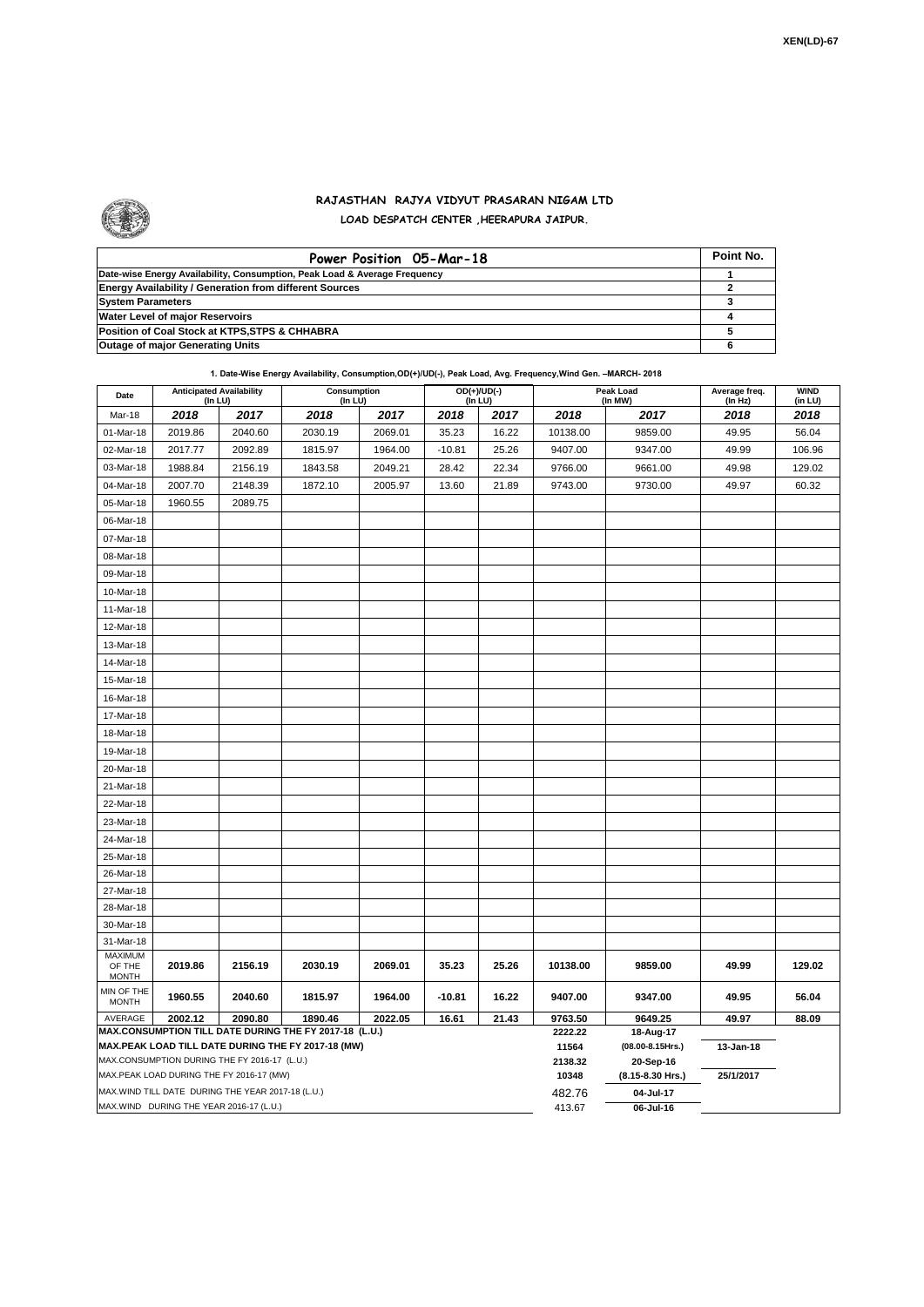## **RAJASTHAN RAJYA VIDYUT PRASARAN NIGAM LTD LOAD DESPATCH CENTER ,HEERAPURA JAIPUR.**

| Power Position 05-Mar-18                                                  | Point No. |
|---------------------------------------------------------------------------|-----------|
| Date-wise Energy Availability, Consumption, Peak Load & Average Frequency |           |
| <b>Energy Availability / Generation from different Sources</b>            |           |
| <b>System Parameters</b>                                                  |           |
| <b>Water Level of major Reservoirs</b>                                    |           |
| Position of Coal Stock at KTPS, STPS & CHHABRA                            |           |
| <b>Outage of major Generating Units</b>                                   |           |

| 1. Date-Wise Energy Availability, Consumption, OD(+)/UD(-), Peak Load, Avg. Frequency, Wind Gen. -MARCH- 2018<br>$\cdots$ |  |  |
|---------------------------------------------------------------------------------------------------------------------------|--|--|
|                                                                                                                           |  |  |

| Date                                     | <b>Anticipated Availability</b><br>(In LU)        |         | Consumption<br>(In LU)                                 |                  |                  | $OD(+)/UD(-)$<br>(In LU) |          | Peak Load<br>(In MW)          | Average freq.<br>(In Hz) | <b>WIND</b><br>(in LU) |  |  |
|------------------------------------------|---------------------------------------------------|---------|--------------------------------------------------------|------------------|------------------|--------------------------|----------|-------------------------------|--------------------------|------------------------|--|--|
| Mar-18                                   | 2018                                              | 2017    | 2018                                                   | 2017             | 2018             | 2017                     | 2018     | 2017                          | 2018                     | 2018                   |  |  |
| 01-Mar-18                                | 2019.86                                           | 2040.60 | 2030.19                                                | 2069.01          | 35.23            | 16.22                    | 10138.00 | 9859.00                       | 49.95                    | 56.04                  |  |  |
| 02-Mar-18                                | 2017.77                                           | 2092.89 | 1815.97                                                | 1964.00          | $-10.81$         | 25.26                    | 9407.00  | 9347.00                       | 49.99                    | 106.96                 |  |  |
| 03-Mar-18                                | 1988.84                                           | 2156.19 | 1843.58                                                | 2049.21          | 28.42            | 22.34                    | 9766.00  | 9661.00                       | 49.98                    | 129.02                 |  |  |
| 04-Mar-18                                | 2007.70                                           | 2148.39 | 1872.10                                                | 2005.97          | 13.60            | 21.89                    | 9743.00  | 9730.00                       | 49.97                    | 60.32                  |  |  |
| 05-Mar-18                                | 1960.55                                           | 2089.75 |                                                        |                  |                  |                          |          |                               |                          |                        |  |  |
| 06-Mar-18                                |                                                   |         |                                                        |                  |                  |                          |          |                               |                          |                        |  |  |
| 07-Mar-18                                |                                                   |         |                                                        |                  |                  |                          |          |                               |                          |                        |  |  |
| 08-Mar-18                                |                                                   |         |                                                        |                  |                  |                          |          |                               |                          |                        |  |  |
| 09-Mar-18                                |                                                   |         |                                                        |                  |                  |                          |          |                               |                          |                        |  |  |
| 10-Mar-18                                |                                                   |         |                                                        |                  |                  |                          |          |                               |                          |                        |  |  |
| 11-Mar-18                                |                                                   |         |                                                        |                  |                  |                          |          |                               |                          |                        |  |  |
| 12-Mar-18                                |                                                   |         |                                                        |                  |                  |                          |          |                               |                          |                        |  |  |
| 13-Mar-18                                |                                                   |         |                                                        |                  |                  |                          |          |                               |                          |                        |  |  |
| 14-Mar-18                                |                                                   |         |                                                        |                  |                  |                          |          |                               |                          |                        |  |  |
| 15-Mar-18                                |                                                   |         |                                                        |                  |                  |                          |          |                               |                          |                        |  |  |
| 16-Mar-18                                |                                                   |         |                                                        |                  |                  |                          |          |                               |                          |                        |  |  |
| 17-Mar-18                                |                                                   |         |                                                        |                  |                  |                          |          |                               |                          |                        |  |  |
| 18-Mar-18                                |                                                   |         |                                                        |                  |                  |                          |          |                               |                          |                        |  |  |
| 19-Mar-18                                |                                                   |         |                                                        |                  |                  |                          |          |                               |                          |                        |  |  |
| 20-Mar-18                                |                                                   |         |                                                        |                  |                  |                          |          |                               |                          |                        |  |  |
| 21-Mar-18                                |                                                   |         |                                                        |                  |                  |                          |          |                               |                          |                        |  |  |
| 22-Mar-18                                |                                                   |         |                                                        |                  |                  |                          |          |                               |                          |                        |  |  |
| 23-Mar-18                                |                                                   |         |                                                        |                  |                  |                          |          |                               |                          |                        |  |  |
| 24-Mar-18                                |                                                   |         |                                                        |                  |                  |                          |          |                               |                          |                        |  |  |
| 25-Mar-18                                |                                                   |         |                                                        |                  |                  |                          |          |                               |                          |                        |  |  |
| 26-Mar-18                                |                                                   |         |                                                        |                  |                  |                          |          |                               |                          |                        |  |  |
| 27-Mar-18                                |                                                   |         |                                                        |                  |                  |                          |          |                               |                          |                        |  |  |
| 28-Mar-18                                |                                                   |         |                                                        |                  |                  |                          |          |                               |                          |                        |  |  |
| 30-Mar-18                                |                                                   |         |                                                        |                  |                  |                          |          |                               |                          |                        |  |  |
| 31-Mar-18                                |                                                   |         |                                                        |                  |                  |                          |          |                               |                          |                        |  |  |
| <b>MAXIMUM</b><br>OF THE<br><b>MONTH</b> | 2019.86                                           | 2156.19 | 2030.19                                                | 2069.01          | 35.23            | 25.26                    | 10138.00 | 9859.00                       | 49.99                    | 129.02                 |  |  |
| MIN OF THE<br><b>MONTH</b>               | 1960.55                                           | 2040.60 | 1815.97                                                | 1964.00          | $-10.81$         | 16.22                    | 9407.00  | 9347.00                       | 49.95                    | 56.04                  |  |  |
| AVERAGE                                  | 2002.12                                           | 2090.80 | 1890.46                                                | 2022.05          | 16.61            | 21.43                    | 9763.50  | 9649.25                       | 49.97                    | 88.09                  |  |  |
|                                          |                                                   |         | MAX.CONSUMPTION TILL DATE DURING THE FY 2017-18 (L.U.) | 2222.22          | 18-Aug-17        |                          |          |                               |                          |                        |  |  |
|                                          | MAX.CONSUMPTION DURING THE FY 2016-17 (L.U.)      |         | MAX.PEAK LOAD TILL DATE DURING THE FY 2017-18 (MW)     | 11564<br>2138.32 | (08.00-8.15Hrs.) | 13-Jan-18                |          |                               |                          |                        |  |  |
|                                          | MAX.PEAK LOAD DURING THE FY 2016-17 (MW)          |         |                                                        |                  |                  |                          | 10348    | 20-Sep-16<br>(8.15-8.30 Hrs.) | 25/1/2017                |                        |  |  |
|                                          | MAX.WIND TILL DATE DURING THE YEAR 2017-18 (L.U.) |         |                                                        |                  |                  |                          | 482.76   | 04-Jul-17                     |                          |                        |  |  |
|                                          | MAX.WIND DURING THE YEAR 2016-17 (L.U.)           |         |                                                        |                  |                  |                          | 413.67   | 06-Jul-16                     |                          |                        |  |  |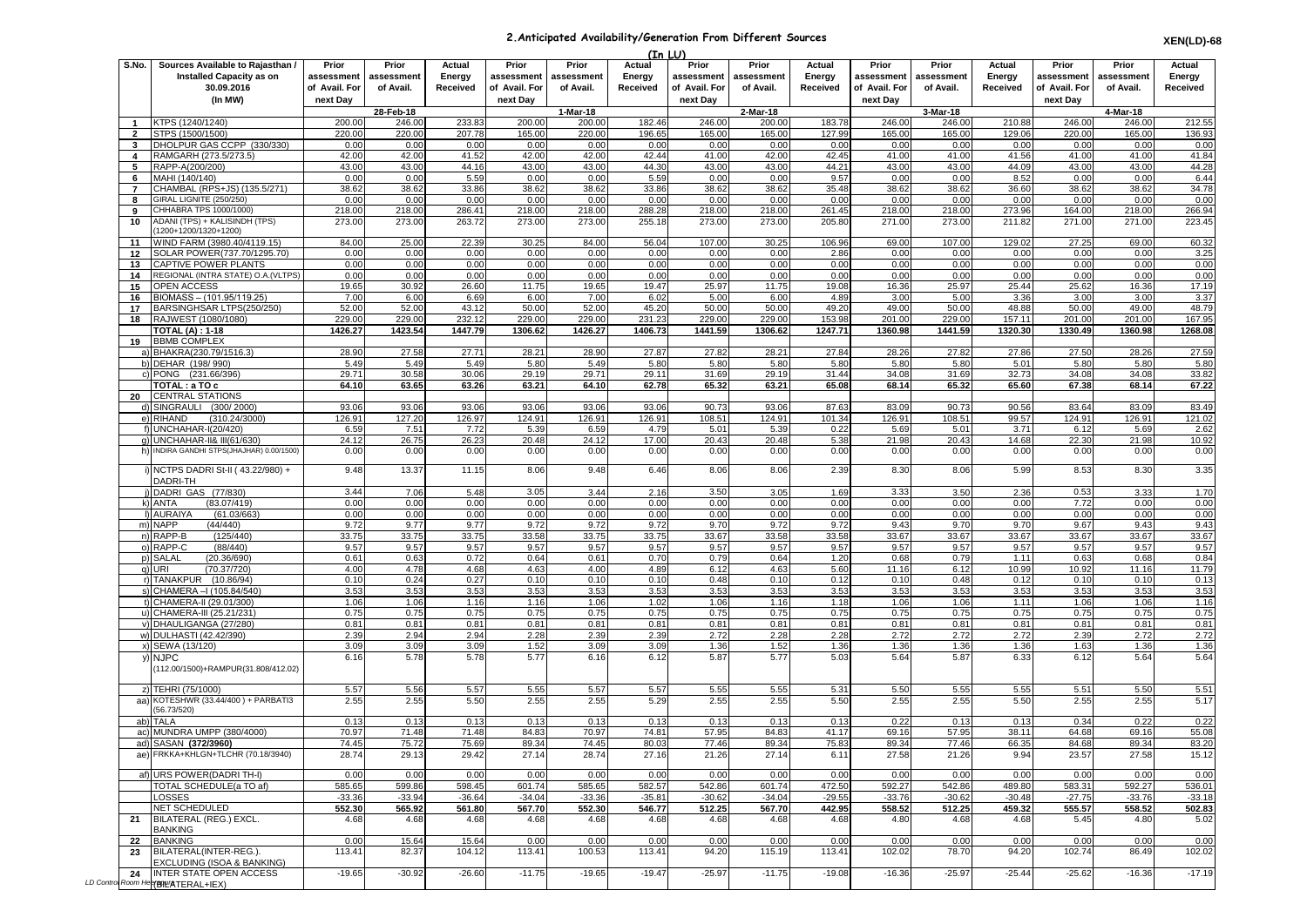## **2.Anticipated Availability/Generation From Different Sources**

|                                |                                                                                   |                                      |                                  |                              |                                      |                                  | (In LU)                      |                                      |                                  |                              |                                      |                                  |                              |                                      |                                  |                              |
|--------------------------------|-----------------------------------------------------------------------------------|--------------------------------------|----------------------------------|------------------------------|--------------------------------------|----------------------------------|------------------------------|--------------------------------------|----------------------------------|------------------------------|--------------------------------------|----------------------------------|------------------------------|--------------------------------------|----------------------------------|------------------------------|
| S.No.                          | Sources Available to Rajasthan /<br><b>Installed Capacity as on</b><br>30.09.2016 | Prior<br>assessment<br>of Avail. For | Prior<br>assessment<br>of Avail. | Actual<br>Energy<br>Received | Prior<br>assessment<br>of Avail. For | Prior<br>assessment<br>of Avail. | Actual<br>Energy<br>Received | Prior<br>assessment<br>of Avail. For | Prior<br>assessment<br>of Avail. | Actual<br>Energy<br>Received | Prior<br>assessment<br>of Avail. For | Prior<br>assessment<br>of Avail. | Actual<br>Energy<br>Received | Prior<br>assessment<br>of Avail. For | Prior<br>assessment<br>of Avail. | Actual<br>Energy<br>Received |
|                                | (In MW)                                                                           | next Day                             |                                  |                              | next Day                             |                                  |                              | next Day                             |                                  |                              | next Day                             |                                  |                              | next Day                             |                                  |                              |
|                                |                                                                                   |                                      | 28-Feb-18                        |                              |                                      | $1-Mar-18$                       |                              |                                      | 2-Mar-18                         |                              |                                      | 3-Mar-18                         |                              |                                      | 4-Mar-18                         |                              |
| $\mathbf{1}$<br>$\overline{2}$ | KTPS (1240/1240)<br>STPS (1500/1500)                                              | 200.00<br>220.00                     | 246.00<br>220.00                 | 233.83<br>207.78             | 200.00<br>165.00                     | 200.00<br>220.00                 | 182.46<br>196.65             | 246.00<br>165.00                     | 200.00<br>165.00                 | 183.78<br>127.99             | 246.00<br>165.00                     | 246.00<br>165.00                 | 210.88<br>129.06             | 246.00<br>220.00                     | 246.00<br>165.00                 | 212.55<br>136.93             |
| $\mathbf{3}$                   | DHOLPUR GAS CCPP (330/330)                                                        | 0.00                                 | 0.00                             | 0.00                         | 0.00                                 | 0.00                             | 0.00                         | 0.00                                 | 0.00                             | 0.00                         | 0.00                                 | 0.00                             | 0.00                         | 0.00                                 | 0.00                             | 0.00                         |
| $\overline{4}$                 | RAMGARH (273.5/273.5)                                                             | 42.00                                | 42.00                            | 41.52                        | 42.00                                | 42.00                            | 42.44                        | 41.00                                | 42.00                            | 42.45                        | 41.00                                | 41.00                            | 41.56                        | 41.00                                | 41.00                            | 41.84                        |
| 5                              | RAPP-A(200/200)                                                                   | 43.00                                | 43.00                            | 44.16                        | 43.00                                | 43.00                            | 44.30                        | 43.00                                | 43.00                            | 44.21                        | 43.00                                | 43.00                            | 44.09                        | 43.00                                | 43.00                            | 44.28                        |
| 6                              | MAHI (140/140)                                                                    | 0.00                                 | 0.00                             | 5.59                         | 0.00                                 | 0.00                             | 5.59                         | 0.00                                 | 0.00                             | 9.57                         | 0.00                                 | 0.00                             | 8.52                         | 0.00                                 | 0.00                             | 6.44                         |
| $\overline{7}$                 | CHAMBAL (RPS+JS) (135.5/271)<br>GIRAL LIGNITE (250/250)                           | 38.62<br>0.00                        | 38.62<br>0.00                    | 33.86<br>0.00                | 38.62<br>0.00                        | 38.62<br>0.00                    | 33.86<br>0.00                | 38.62<br>0.00                        | 38.62<br>0.00                    | 35.48<br>0.00                | 38.62<br>0.00                        | 38.62<br>0.00                    | 36.60<br>0.00                | 38.62<br>0.00                        | 38.62<br>0.00                    | 34.78<br>0.00                |
| 8<br>9                         | CHHABRA TPS 1000/1000)                                                            | 218.00                               | 218.00                           | 286.4                        | 218.00                               | 218.00                           | 288.28                       | 218.00                               | 218.00                           | 261.45                       | 218.00                               | 218.00                           | 273.96                       | 164.00                               | 218.00                           | 266.94                       |
| 10                             | ADANI (TPS) + KALISINDH (TPS)<br>1200+1200/1320+1200)                             | 273.00                               | 273.00                           | 263.72                       | 273.00                               | 273.00                           | 255.18                       | 273.00                               | 273.00                           | 205.80                       | 271.00                               | 273.00                           | 211.82                       | 271.00                               | 271.00                           | 223.45                       |
| 11                             | WIND FARM (3980.40/4119.15)                                                       | 84.00                                | 25.00                            | 22.39                        | 30.25                                | 84.00                            | 56.04                        | 107.00                               | 30.25                            | 106.96                       | 69.00                                | 107.00                           | 129.02                       | 27.25                                | 69.00                            | 60.32                        |
| 12                             | SOLAR POWER(737.70/1295.70)                                                       | 0.00                                 | 0.00                             | 0.00                         | 0.00                                 | 0.00                             | 0.00                         | 0.00                                 | 0.00                             | 2.86                         | 0.00                                 | 0.00                             | 0.00                         | 0.00                                 | 0.00                             | 3.25                         |
| 13<br>14                       | CAPTIVE POWER PLANTS<br>REGIONAL (INTRA STATE) O.A. (VLTPS)                       | 0.00<br>0.00                         | 0.00<br>0.00                     | 0.00<br>0.00                 | 0.00<br>0.00                         | 0.00<br>0.00                     | 0.00<br>0.00                 | 0.00<br>0.00                         | 0.00<br>0.00                     | 0.00<br>0.00                 | 0.00<br>0.00                         | 0.00<br>0.00                     | 0.00<br>0.00                 | 0.00<br>0.00                         | 0.00<br>0.00                     | 0.00<br>0.00                 |
| 15                             | <b>OPEN ACCESS</b>                                                                | 19.65                                | 30.92                            | 26.60                        | 11.75                                | 19.65                            | 19.47                        | 25.97                                | 11.75                            | 19.08                        | 16.36                                | 25.97                            | 25.44                        | 25.62                                | 16.36                            | 17.19                        |
| 16                             | BIOMASS - (101.95/119.25)                                                         | 7.00                                 | 6.00                             | 6.69                         | 6.00                                 | 7.00                             | 6.02                         | 5.00                                 | 6.00                             | 4.89                         | 3.00                                 | 5.00                             | 3.36                         | 3.00                                 | 3.00                             | 3.37                         |
| 17                             | BARSINGHSAR LTPS(250/250)                                                         | 52.00                                | 52.00                            | 43.12                        | 50.00                                | 52.00                            | 45.20                        | 50.00                                | 50.00                            | 49.20                        | 49.00                                | 50.00                            | 48.88                        | 50.00                                | 49.00                            | 48.79                        |
| 18                             | RAJWEST (1080/1080)                                                               | 229.00                               | 229.00                           | 232.12                       | 229.00                               | 229.00                           | 231.23                       | 229.00                               | 229.00                           | 153.98                       | 201.00                               | 229.00                           | 157.11                       | 201.00                               | 201.00                           | 167.95                       |
|                                | <b>TOTAL (A) : 1-18</b>                                                           | 1426.27                              | 1423.54                          | 1447.79                      | 1306.62                              | 1426.27                          | 1406.73                      | 1441.59                              | 1306.62                          | 1247.71                      | 1360.98                              | 1441.59                          | 1320.30                      | 1330.49                              | 1360.98                          | 1268.08                      |
| 19                             | <b>BBMB COMPLEX</b><br>a) BHAKRA(230.79/1516.3)                                   | 28.90                                | 27.58                            | 27.71                        | 28.21                                | 28.90                            | 27.87                        | 27.82                                | 28.21                            | 27.84                        | 28.26                                | 27.82                            | 27.86                        | 27.50                                | 28.26                            | 27.59                        |
|                                | b) DEHAR (198/990)                                                                | 5.49                                 | 5.49                             | 5.49                         | 5.80                                 | 5.49                             | 5.80                         | 5.80                                 | 5.80                             | 5.80                         | 5.80                                 | 5.80                             | 5.01                         | 5.80                                 | 5.80                             | 5.80                         |
|                                | c) PONG (231.66/396)                                                              | 29.71                                | 30.58                            | 30.06                        | 29.19                                | 29.71                            | 29.11                        | 31.69                                | 29.19                            | 31.44                        | 34.08                                | 31.69                            | 32.73                        | 34.08                                | 34.08                            | 33.82                        |
|                                | TOTAL : a TO c                                                                    | 64.10                                | 63.65                            | 63.26                        | 63.21                                | 64.10                            | 62.78                        | 65.32                                | 63.21                            | 65.08                        | 68.14                                | 65.32                            | 65.60                        | 67.38                                | 68.14                            | 67.22                        |
| 20                             | <b>CENTRAL STATIONS</b>                                                           |                                      |                                  |                              |                                      |                                  |                              |                                      |                                  |                              |                                      |                                  |                              |                                      |                                  |                              |
|                                | d) SINGRAULI (300/2000)                                                           | 93.06                                | 93.06                            | 93.06                        | 93.06                                | 93.06                            | 93.06                        | 90.73                                | 93.06                            | 87.63                        | 83.09                                | 90.73                            | 90.56                        | 83.64                                | 83.09                            | 83.49                        |
|                                | e) RIHAND<br>(310.24/3000)<br>f) UNCHAHAR-I(20/420)                               | 126.91<br>6.59                       | 127.20<br>7.51                   | 126.97<br>7.72               | 124.91<br>5.39                       | 126.91<br>6.59                   | 126.91<br>4.79               | 108.51<br>5.01                       | 124.91<br>5.39                   | 101.34<br>0.22               | 126.91<br>5.69                       | 108.51<br>5.01                   | 99.57<br>3.71                | 124.91<br>6.12                       | 126.91<br>5.69                   | 121.02<br>2.62               |
|                                | q) UNCHAHAR-II& III(61/630)                                                       | 24.12                                | 26.75                            | 26.23                        | 20.48                                | 24.12                            | 17.00                        | 20.43                                | 20.48                            | 5.38                         | 21.98                                | 20.43                            | 14.68                        | 22.30                                | 21.98                            | 10.92                        |
|                                | h) INDIRA GANDHI STPS(JHAJHAR) 0.00/1500)                                         | 0.00                                 | 0.00                             | 0.00                         | 0.00                                 | 0.00                             | 0.00                         | 0.00                                 | 0.00                             | 0.00                         | 0.00                                 | 0.00                             | 0.00                         | 0.00                                 | 0.00                             | 0.00                         |
|                                | NCTPS DADRI St-II (43.22/980) +<br>DADRI-TH                                       | 9.48                                 | 13.37                            | 11.15                        | 8.06                                 | 9.48                             | 6.46                         | 8.06                                 | 8.06                             | 2.39                         | 8.30                                 | 8.06                             | 5.99                         | 8.53                                 | 8.30                             | 3.35                         |
|                                | DADRI GAS (77/830)<br>k) ANTA<br>(83.07/419)                                      | 3.44<br>0.00                         | 7.06<br>0.00                     | 5.48<br>0.00                 | 3.05<br>0.00                         | 3.44<br>0.00                     | 2.16<br>0.00                 | 3.50<br>0.00                         | 3.05<br>0.00                     | 1.69<br>0.00                 | 3.33<br>0.00                         | 3.50<br>0.00                     | 2.36<br>0.00                 | 0.53<br>7.72                         | 3.33<br>0.00                     | 1.70<br>0.00                 |
|                                | I) AURAIYA<br>(61.03/663)                                                         | 0.00                                 | 0.00                             | 0.00                         | 0.00                                 | 0.00                             | 0.00                         | 0.00                                 | 0.00                             | 0.00                         | 0.00                                 | 0.00                             | 0.00                         | 0.00                                 | 0.00                             | 0.00                         |
|                                | m) NAPP<br>(44/440)                                                               | 9.72                                 | 9.77                             | 9.77                         | 9.72                                 | 9.72                             | 9.72                         | 9.70                                 | 9.72                             | 9.72                         | 9.43                                 | 9.70                             | 9.70                         | 9.67                                 | 9.43                             | 9.43                         |
|                                | n) RAPP-B<br>(125/440)                                                            | 33.75                                | 33.75                            | 33.75                        | 33.58                                | 33.75                            | 33.75                        | 33.67                                | 33.58                            | 33.58                        | 33.67                                | 33.67                            | 33.67                        | 33.67                                | 33.67                            | 33.67                        |
|                                | o) RAPP-C<br>(88/440)                                                             | 9.57                                 | 9.57                             | 9.57                         | 9.57                                 | 9.57                             | 9.57                         | 9.57                                 | 9.57                             | 9.57                         | 9.57                                 | 9.57                             | 9.57                         | 9.57                                 | 9.57                             | 9.57                         |
|                                | p) SALAL<br>(20.36/690)<br>q) URI<br>(70.37/720)                                  | 0.61<br>4.00                         | 0.63<br>4.78                     | 0.72<br>4.68                 | 0.64<br>4.63                         | 0.61<br>4.00                     | 0.70<br>4.89                 | 0.79<br>6.12                         | 0.64<br>4.63                     | 1.20<br>5.60                 | 0.68<br>11.16                        | 0.79<br>6.12                     | 1.11<br>10.99                | 0.63<br>10.92                        | 0.68<br>11.16                    | 0.84<br>11.79                |
|                                | r) TANAKPUR (10.86/94)                                                            | 0.10                                 | 0.24                             | 0.27                         | 0.10                                 | 0.10                             | 0.10                         | 0.48                                 | 0.10                             | 0.12                         | 0.10                                 | 0.48                             | 0.12                         | 0.10                                 | 0.10                             | 0.13                         |
|                                | s) CHAMERA - (105.84/540                                                          | 3.53                                 | 3.53                             | 3.53                         | 3.53                                 | 3.53                             | 3.53                         | 3.53                                 | 3.53                             | 3.53                         | 3.53                                 | 3.53                             | 3.53                         | 3.53                                 | 3.53                             | 3.53                         |
|                                | t) CHAMERA-II (29.01/300)                                                         | 1.06                                 | 1.06                             | 1.16                         | 1.16                                 | 1.06                             | 1.02                         | 1.06                                 | 1.16                             | 1.18                         | 1.06                                 | 1.06                             | 1.11                         | 1.06                                 | 1.06                             | 1.16                         |
|                                | u) CHAMERA-III (25.21/231)                                                        | 0.75                                 | 0.75                             | 0.75                         | 0.75                                 | 0.75                             | 0.75                         | 0.75                                 | 0.75                             | 0.75                         | 0.75                                 | 0.75                             | 0.75                         | 0.75                                 | 0.75                             | 0.75                         |
|                                | v) DHAULIGANGA (27/280)                                                           | 0.81                                 | 0.81                             | 0.81                         | 0.81                                 | 0.81                             | 0.81                         | 0.81                                 | 0.81                             | 0.81                         | 0.81                                 | 0.81                             | 0.81                         | 0.81                                 | 0.81                             | 0.81                         |
|                                | w) DULHASTI (42.42/390)<br>x) SEWA (13/120)                                       | 2.39<br>3.09                         | 2.94<br>3.09                     | 2.94<br>3.09                 | 2.28<br>1.52                         | 2.39<br>3.09                     | 2.39<br>3.09                 | 2.72<br>1.36                         | 2.28<br>1.52                     | 2.28<br>1.36                 | 2.72<br>1.36                         | 2.72<br>1.36                     | 2.72<br>1.36                 | 2.39<br>1.63                         | 2.72<br>1.36                     | 2.72<br>1.36                 |
| y)                             | <b>NJPC</b><br>(112.00/1500)+RAMPUR(31.808/412.02)                                | 6.16                                 | 5.78                             | 5.78                         | 5.77                                 | 6.16                             | 6.12                         | 5.87                                 | 5.77                             | 5.03                         | 5.64                                 | 5.87                             | 6.33                         | 6.12                                 | 5.64                             | 5.64                         |
|                                | z) TEHRI (75/1000)                                                                | 5.57                                 | 5.56                             | 5.57                         | 5.55                                 | 5.57                             | 5.57                         | 5.55                                 | 5.55                             | 5.31                         | 5.50                                 | 5.55                             | 5.55                         | 5.51                                 | 5.50                             | 5.51                         |
| aa)                            | KOTESHWR (33.44/400) + PARBATI3<br>56.73/520)                                     | 2.55                                 | 2.55                             | 5.50                         | 2.55                                 | 2.55                             | 5.29                         | 2.55                                 | 2.55                             | 5.50                         | 2.55                                 | 2.55                             | 5.50                         | 2.55                                 | 2.55                             | 5.17                         |
| ab)                            | <b>TALA</b>                                                                       | 0.13                                 | 0.13                             | 0.13                         | 0.13                                 | 0.13                             | 0.13                         | 0.13                                 | 0.13                             | 0.13                         | 0.22                                 | 0.13                             | 0.13                         | 0.34                                 | 0.22                             | 0.22                         |
|                                | ac) MUNDRA UMPP (380/4000)<br>ad) SASAN (372/3960)                                | 70.97<br>74.45                       | 71.48<br>75.72                   | 71.48<br>75.69               | 84.83<br>89.34                       | 70.97<br>74.45                   | 74.81<br>80.03               | 57.95<br>77.46                       | 84.83<br>89.34                   | 41.17<br>75.83               | 69.16<br>89.34                       | 57.95<br>77.46                   | 38.11<br>66.35               | 64.68<br>84.68                       | 69.16<br>89.34                   | 55.08<br>83.20               |
|                                | ae) FRKKA+KHLGN+TLCHR (70.18/3940)                                                | 28.74                                | 29.13                            | 29.42                        | 27.14                                | 28.74                            | 27.16                        | 21.26                                | 27.14                            | 6.11                         | 27.58                                | 21.26                            | 9.94                         | 23.57                                | 27.58                            | 15.12                        |
|                                | af) URS POWER(DADRITH-I)                                                          | 0.00                                 | 0.00                             | 0.00                         | 0.00                                 | 0.00                             | 0.00                         | 0.00                                 | 0.00                             | 0.00                         | 0.00                                 | 0.00                             | 0.00                         | 0.00                                 | 0.00                             | 0.00                         |
|                                | TOTAL SCHEDULE(a TO af)                                                           | 585.65                               | 599.86                           | 598.45                       | 601.74                               | 585.65                           | 582.57                       | 542.86                               | 601.74                           | 472.50                       | 592.27                               | 542.86                           | 489.80                       | 583.31                               | 592.27                           | 536.01                       |
|                                | LOSSES                                                                            | $-33.36$                             | $-33.94$                         | $-36.64$                     | $-34.04$                             | $-33.36$                         | $-35.81$                     | $-30.62$                             | $-34.04$                         | $-29.55$                     | $-33.76$                             | $-30.62$                         | $-30.48$                     | $-27.75$                             | $-33.76$                         | $-33.18$                     |
| 21                             | NET SCHEDULED<br>BILATERAL (REG.) EXCL.                                           | 552.30<br>4.68                       | 565.92<br>4.68                   | 561.80<br>4.68               | 567.70<br>4.68                       | 552.30<br>4.68                   | 546.77<br>4.68               | 512.25<br>4.68                       | 567.70<br>4.68                   | 442.95<br>4.68               | 558.52<br>4.80                       | 512.25<br>4.68                   | 459.32<br>4.68               | 555.57<br>5.45                       | 558.52<br>4.80                   | 502.83<br>5.02               |
| 22                             | <b>BANKING</b><br><b>BANKING</b>                                                  | 0.00                                 | 15.64                            | 15.64                        | 0.00                                 | 0.00                             | 0.00                         | 0.00                                 | 0.00                             | 0.00                         | 0.00                                 | 0.00                             | 0.00                         | 0.00                                 | 0.00                             | 0.00                         |
| 23                             | BILATERAL(INTER-REG.).                                                            | 113.41                               | 82.37                            | 104.12                       | 113.41                               | 100.53                           | 113.41                       | 94.20                                | 115.19                           | 113.41                       | 102.02                               | 78.70                            | 94.20                        | 102.74                               | 86.49                            | 102.02                       |
| 24                             | EXCLUDING (ISOA & BANKING)<br>INTER STATE OPEN ACCESS                             | $-19.65$                             | $-30.92$                         | $-26.60$                     | $-11.75$                             | $-19.65$                         | $-19.47$                     | $-25.97$                             | $-11.75$                         | $-19.08$                     | $-16.36$                             | $-25.97$                         | $-25.44$                     | $-25.62$                             | $-16.36$                         | $-17.19$                     |
|                                | LD Control Room Health LATERAL+IEX)                                               |                                      |                                  |                              |                                      |                                  |                              |                                      |                                  |                              |                                      |                                  |                              |                                      |                                  |                              |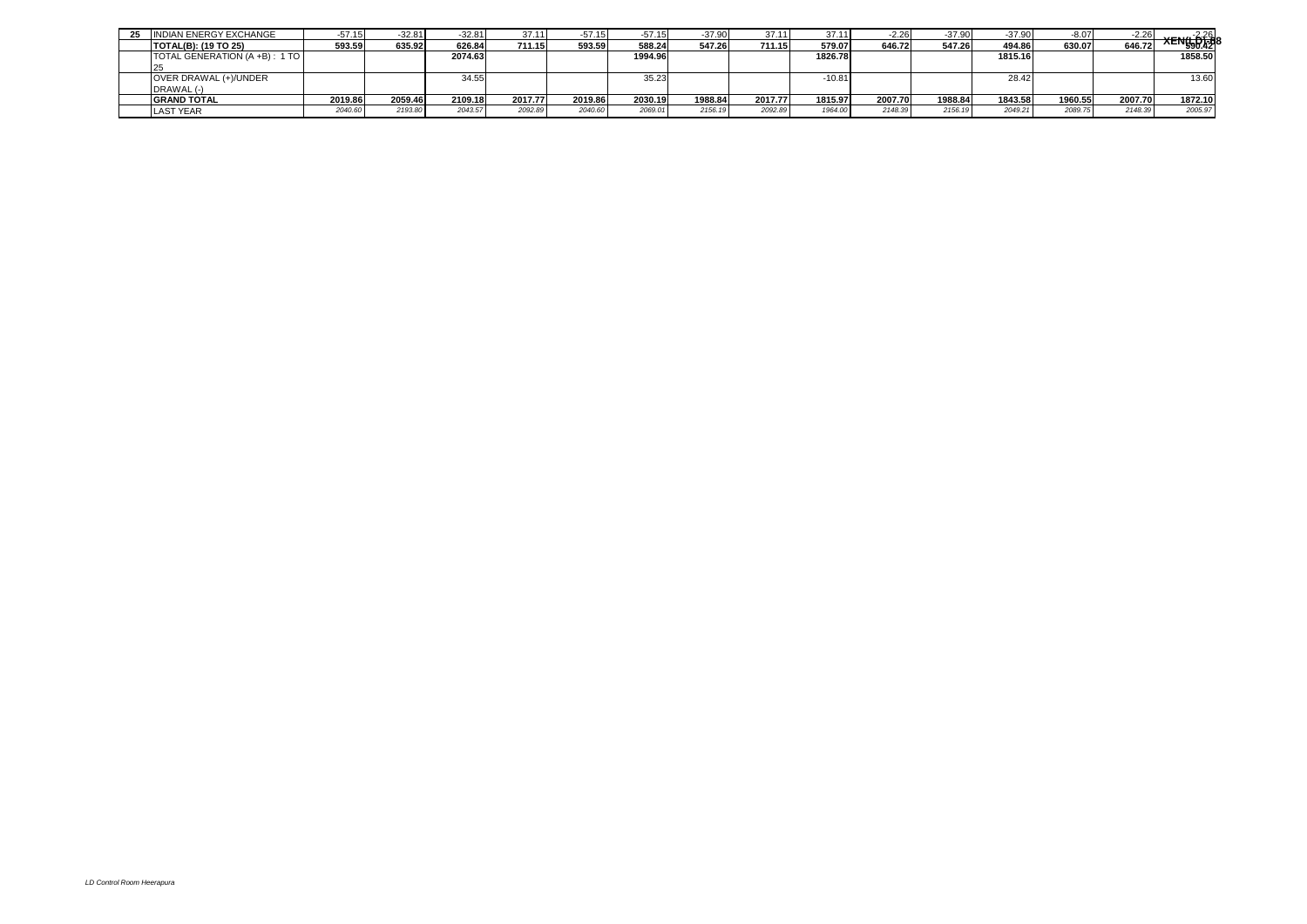| 25 | <b>INDIAN ENERGY EXCHANGE</b> | -o/. L  | $-32.81$ | $-32.81$ | 37.11   | $-57.15$ | $-57.15$ | $-37.90$ | 37.11   | 37.11    | $-2.26$ | $-37.90$ | -37.90  | $-8.07$ | $-2.26$ | <b>XENG 026</b> |
|----|-------------------------------|---------|----------|----------|---------|----------|----------|----------|---------|----------|---------|----------|---------|---------|---------|-----------------|
|    | <b>TOTAL(B): (19 TO 25)</b>   | 593.59  | 635.92   | 626.84   | 711.15  | 593.59   | 588.24   | 547.26   | 711.15  | 579.07   | 646.72  | 547.26   | 494.86  | 630.07  | 646.72  |                 |
|    | TOTAL GENERATION (A +B): 1 TO |         |          | 2074.63  |         |          | 1994.96  |          |         | 1826.78  |         |          | 1815.16 |         |         | 1858.50         |
|    |                               |         |          |          |         |          |          |          |         |          |         |          |         |         |         |                 |
|    | OVER DRAWAL (+)/UNDER         |         |          | 34.55    |         |          | 35.23    |          |         | $-10.81$ |         |          | 28.42   |         |         | 13.60           |
|    | DRAWAL (-)                    |         |          |          |         |          |          |          |         |          |         |          |         |         |         |                 |
|    | <b>GRAND TOTAL</b>            | 2019.86 | 2059.46  | 2109.18  | 2017.77 | 2019.86  | 2030.19  | 1988.84  | 2017.77 | 1815.97  | 2007.70 | 1988.84  | 1843.58 | 1960.55 | 2007.70 | 1872.10         |
|    | <b>LAST YEAR</b>              | 2040.60 | 2193.80  | 2043.57  | 2092.89 | 2040.60  | 2069.01  | 2156.19  | 2092.89 | 1964.00  | 2148.39 | 2156.19  | 2049.2  | 2089.75 | 2148.39 | 2005.97         |